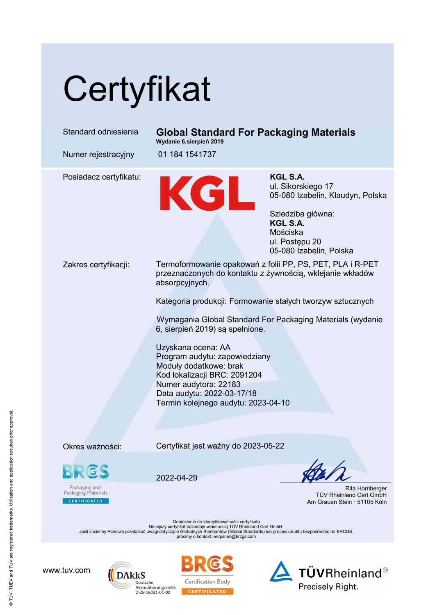## **Certyfikat**

| Standard odniesienia                                                                                                                                                                                                                                                                                  | <b>Global Standard For Packaging Materials</b><br>Wydanie 6, sierpień 2019                                                                                                                                                                                                                                   |                                                                                                                                                                     |
|-------------------------------------------------------------------------------------------------------------------------------------------------------------------------------------------------------------------------------------------------------------------------------------------------------|--------------------------------------------------------------------------------------------------------------------------------------------------------------------------------------------------------------------------------------------------------------------------------------------------------------|---------------------------------------------------------------------------------------------------------------------------------------------------------------------|
| Numer rejestracyjny                                                                                                                                                                                                                                                                                   | 01 184 1541737                                                                                                                                                                                                                                                                                               |                                                                                                                                                                     |
| Posiadacz certyfikatu:                                                                                                                                                                                                                                                                                | KGL                                                                                                                                                                                                                                                                                                          | <b>KGL S.A.</b><br>ul. Sikorskiego 17<br>05-080 Izabelin, Klaudyn, Polska<br>Sziedziba główna:<br>KGL S.A.<br>Mościska<br>ul. Postępu 20<br>05-080 Izabelin, Polska |
| Zakres certyfikacji:                                                                                                                                                                                                                                                                                  | Termoformowanie opakowań z folii PP, PS, PET, PLA i R-PET<br>przeznaczonych do kontaktu z żywnością, wklejanie wkładów<br>absorpcyjnych.                                                                                                                                                                     |                                                                                                                                                                     |
|                                                                                                                                                                                                                                                                                                       | Kategoria produkcji: Formowanie stałych tworzyw sztucznych                                                                                                                                                                                                                                                   |                                                                                                                                                                     |
|                                                                                                                                                                                                                                                                                                       | Wymagania Global Standard For Packaging Materials (wydanie<br>6, sierpień 2019) są spełnione.<br>Uzyskana ocena: AA<br>Program audytu: zapowiedziany<br>Moduły dodatkowe: brak<br>Kod lokalizacji BRC: 2091204<br>Numer audytora: 22183<br>Data audytu: 2022-03-17/18<br>Termin kolejnego audytu: 2023-04-10 |                                                                                                                                                                     |
|                                                                                                                                                                                                                                                                                                       |                                                                                                                                                                                                                                                                                                              |                                                                                                                                                                     |
|                                                                                                                                                                                                                                                                                                       |                                                                                                                                                                                                                                                                                                              |                                                                                                                                                                     |
| Okres ważności:                                                                                                                                                                                                                                                                                       | Certyfikat jest ważny do 2023-05-22                                                                                                                                                                                                                                                                          |                                                                                                                                                                     |
| <b>CS</b>                                                                                                                                                                                                                                                                                             | 2022-04-29                                                                                                                                                                                                                                                                                                   |                                                                                                                                                                     |
| Packaging and<br>Packaging Materials<br><b>CERTIFICATED</b>                                                                                                                                                                                                                                           |                                                                                                                                                                                                                                                                                                              | Rita Hornberger<br>TÜV Rheinland Cert GmbH<br>Am Grauen Stein · 51105 Köln                                                                                          |
| Odniesienie do identyfikowalności certyfikatu<br>Niniejszy certyfikat pozostaje własnością TÜV Rheinland Cert GmbH.<br>Jeśli chcieliby Państwo przekazać uwagi dotyczące Globalnych Standardów (Global Standards) lub procesu auditu bezpośrednio do BRCGS,<br>prosimy o kontakt: enquiries@brcgs.com |                                                                                                                                                                                                                                                                                                              |                                                                                                                                                                     |
|                                                                                                                                                                                                                                                                                                       |                                                                                                                                                                                                                                                                                                              |                                                                                                                                                                     |

www.tuv.com





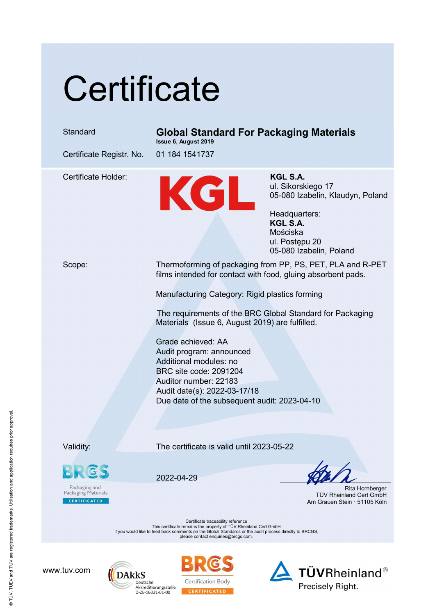## **Certificate**

## Standard Global Standard For Packaging Materials

Issue 6, August 2019

Certificate Registr. No. 01 184 1541737

Certificate Holder:<br>
M. Sikorsk ul. Sikorsk ul. Sikorsk 195-080 lzg ul. Sikorskiego 17 05-080 Izabelin, Klaudyn, Poland

Headquarters: KGL S.A. Mościska ul. Postępu 20 05-080 Izabelin, Poland

Scope: Thermoforming of packaging from PP, PS, PET, PLA and R-PET films intended for contact with food, gluing absorbent pads.

Manufacturing Category: Rigid plastics forming

The requirements of the BRC Global Standard for Packaging Materials (Issue 6, August 2019) are fulfilled.

Grade achieved: AA Audit program: announced Additional modules: no BRC site code: 2091204 Auditor number: 22183 Audit date(s): 2022-03-17/18 Due date of the subsequent audit: 2023-04-10

Validity: The certificate is valid until 2023-05-22

Packaging and<br>Packaging Materials **CERTIFICATED** 

2022-04-29

 Rita Hornberger TÜV Rheinland Cert GmbH Am Grauen Stein · 51105 Köln

Certificate traceability reference This certificate remains the property of TÜV Rheinland Cert GmbH If you would like to feed back comments on the Global Standards or the audit process directly to BRCGS, please contact enquiries@brcgs.com.